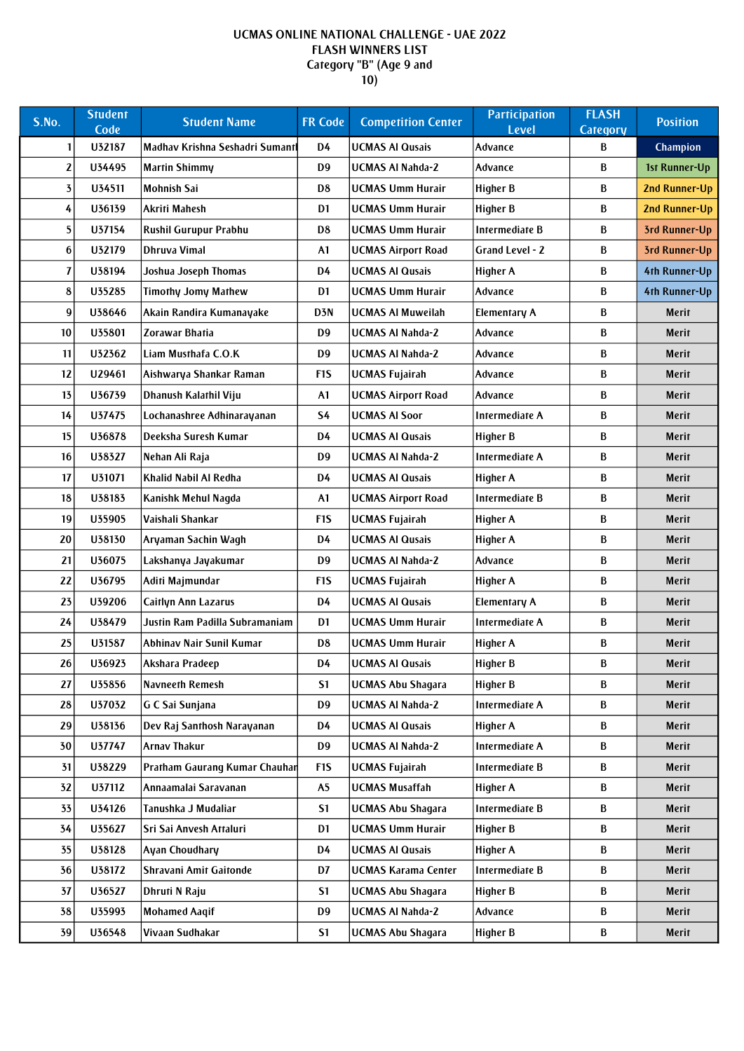## UCMAS ONLINE NATIONAL CHALLENGE - UAE 2022 FLASH WINNERS LIST Category "B" (Age 9 and  $\overline{10}$

| S.No.                   | <b>Student</b><br>Code | <b>Student Name</b>             | <b>FR Code</b>   | <b>Competition Center</b>  | <b>Participation</b><br><b>Level</b> | <b>FLASH</b><br><b>Category</b> | <b>Position</b>      |
|-------------------------|------------------------|---------------------------------|------------------|----------------------------|--------------------------------------|---------------------------------|----------------------|
| 1                       | U32187                 | Madhav Krishna Seshadri Sumantl | D4               | <b>UCMAS AI Qusais</b>     | Advance                              | B                               | Champion             |
| $\mathbf{z}$            | U34495                 | <b>Martin Shimmy</b>            | D <sub>9</sub>   | <b>UCMAS AI Nahda-2</b>    | Advance                              | B                               | 1st Runner-Up        |
| $\overline{\mathbf{5}}$ | U34511                 | <b>Mohnish Sai</b>              | D <sub>8</sub>   | <b>UCMAS Umm Hurair</b>    | <b>Higher B</b>                      | B                               | <b>2nd Runner-Up</b> |
| 4                       | U36139                 | Akriti Mahesh                   | D <sub>1</sub>   | <b>UCMAS Umm Hurair</b>    | <b>Higher B</b>                      | B                               | <b>2nd Runner-Up</b> |
| 5                       | U37154                 | Rushil Gurupur Prabhu           | D <sub>8</sub>   | <b>UCMAS Umm Hurair</b>    | Intermediate B                       | B                               | 3rd Runner-Up        |
| 6                       | U32179                 | Dhruva Vimal                    | A1               | <b>UCMAS Airport Road</b>  | Grand Level - 2                      | B                               | 3rd Runner-Up        |
| 7                       | U38194                 | Joshua Joseph Thomas            | D4               | <b>UCMAS AI Qusais</b>     | Higher A                             | B                               | 4th Runner-Up        |
| 8                       | U35285                 | <b>Timothy Jomy Mathew</b>      | D <sub>1</sub>   | <b>UCMAS Umm Hurair</b>    | Advance                              | B                               | 4th Runner-Up        |
| 9                       | U38646                 | Akain Randira Kumanayake        | D3N              | <b>UCMAS AI Muweilah</b>   | <b>Elementary A</b>                  | B                               | <b>Merit</b>         |
| 10                      | U35801                 | Zorawar Bhatia                  | D <sub>9</sub>   | <b>UCMAS AI Nahda-2</b>    | Advance                              | B                               | Merit                |
| 11                      | U32362                 | Liam Musthafa C.O.K             | D9               | <b>UCMAS AI Nahda-2</b>    | Advance                              | B                               | Merit                |
| 12                      | U29461                 | Aishwarya Shankar Raman         | F <sub>1</sub> S | <b>UCMAS Fujairah</b>      | Advance                              | B                               | Merit                |
| 13                      | U36739                 | Dhanush Kalathil Viju           | A1               | <b>UCMAS Airport Road</b>  | Advance                              | B                               | Merit                |
| 14                      | U37475                 | Lochanashree Adhinarayanan      | <b>S4</b>        | <b>UCMAS AI Soor</b>       | Intermediate A                       | B                               | Merit                |
| 15                      | U36878                 | Deeksha Suresh Kumar            | D4               | <b>UCMAS AI Qusais</b>     | Higher B                             | B                               | Merit                |
| 16                      | U38327                 | Nehan Ali Raja                  | D9               | <b>UCMAS AI Nahda-2</b>    | Intermediate A                       | B                               | Merit                |
| 17                      | U31071                 | Khalid Nabil Al Redha           | D4               | <b>UCMAS AI Qusais</b>     | <b>Higher A</b>                      | B                               | Merit                |
| 18                      | U38183                 | Kanishk Mehul Nagda             | A1               | <b>UCMAS Airport Road</b>  | Intermediate B                       | B                               | <b>Merit</b>         |
| 19                      | U35905                 | Vaishali Shankar                | F <sub>1</sub> S | <b>UCMAS Fujairah</b>      | Higher A                             | B                               | Merit                |
| 20                      | U38130                 | Aryaman Sachin Wagh             | D4               | <b>UCMAS AI Qusais</b>     | <b>Higher A</b>                      | B                               | <b>Merit</b>         |
| 21                      | U36075                 | Lakshanya Jayakumar             | D <sub>9</sub>   | <b>UCMAS AI Nahda-2</b>    | Advance                              | B                               | Merit                |
| 22                      | U36795                 | Aditi Majmundar                 | F <sub>1</sub> S | <b>UCMAS Fujairah</b>      | <b>Higher A</b>                      | B                               | <b>Merit</b>         |
| 23                      | U39206                 | <b>Caitlyn Ann Lazarus</b>      | D4               | <b>UCMAS AI Qusais</b>     | <b>Elementary A</b>                  | B                               | Merit                |
| 24                      | U38479                 | Justin Ram Padilla Subramaniam  | D <sub>1</sub>   | <b>UCMAS Umm Hurair</b>    | Intermediate A                       | B                               | Merit                |
| 25                      | U31587                 | Abhinav Nair Sunil Kumar        | D <sub>8</sub>   | <b>UCMAS Umm Hurair</b>    | Higher A                             | B                               | Merit                |
| 26                      | U36923                 | Akshara Pradeep                 | D4               | <b>UCMAS AI Qusais</b>     | Higher B                             | В                               | Merit                |
| 27                      | U35856                 | <b>Navneeth Remesh</b>          | S1               | <b>UCMAS Abu Shagara</b>   | Higher B                             | B                               | Merit                |
| 28                      | U37032                 | G C Sai Sunjana                 | D <sub>9</sub>   | <b>UCMAS AI Nahda-2</b>    | Intermediate A                       | B                               | <b>Merit</b>         |
| 29                      | U38136                 | Dev Raj Santhosh Narayanan      | D4               | <b>UCMAS AI Qusais</b>     | <b>Higher A</b>                      | B                               | Merit                |
| 30                      | U37747                 | <b>Arnav Thakur</b>             | D <sub>9</sub>   | <b>UCMAS AI Nahda-2</b>    | Intermediate A                       | B                               | Merit                |
| 31                      | U38229                 | Pratham Gaurang Kumar Chauhar   | F <sub>1</sub> S | <b>UCMAS Fujairah</b>      | Intermediate B                       | B                               | Merit                |
| 32                      | U37112                 | Annaamalai Saravanan            | A <sub>5</sub>   | <b>UCMAS Musaffah</b>      | Higher A                             | B                               | <b>Merit</b>         |
| 33                      | U34126                 | Tanushka J Mudaliar             | S <sub>1</sub>   | <b>UCMAS Abu Shagara</b>   | Intermediate B                       | B                               | Merit                |
| 34                      | U35627                 | Sri Sai Anvesh Attaluri         | D <sub>1</sub>   | <b>UCMAS Umm Hurair</b>    | Higher B                             | В                               | <b>Merit</b>         |
| 35                      | U38128                 | Ayan Choudhary                  | D4               | <b>UCMAS AI Qusais</b>     | <b>Higher A</b>                      | B                               | Merit                |
| 36                      | U38172                 | Shravani Amit Gaitonde          | D7               | <b>UCMAS Karama Center</b> | Intermediate B                       | В                               | Merit                |
| 37                      | U36527                 | Dhruti N Raju                   | S <sub>1</sub>   | <b>UCMAS Abu Shagara</b>   | <b>Higher B</b>                      | B                               | Merit                |
| 38                      | U35993                 | <b>Mohamed Aaqif</b>            | D <sub>9</sub>   | <b>UCMAS AI Nahda-2</b>    | Advance                              | В                               | <b>Merit</b>         |
| 39                      | U36548                 | Vivaan Sudhakar                 | S <sub>1</sub>   | <b>UCMAS Abu Shagara</b>   | <b>Higher B</b>                      | $\, {\bf B}$                    | <b>Merit</b>         |